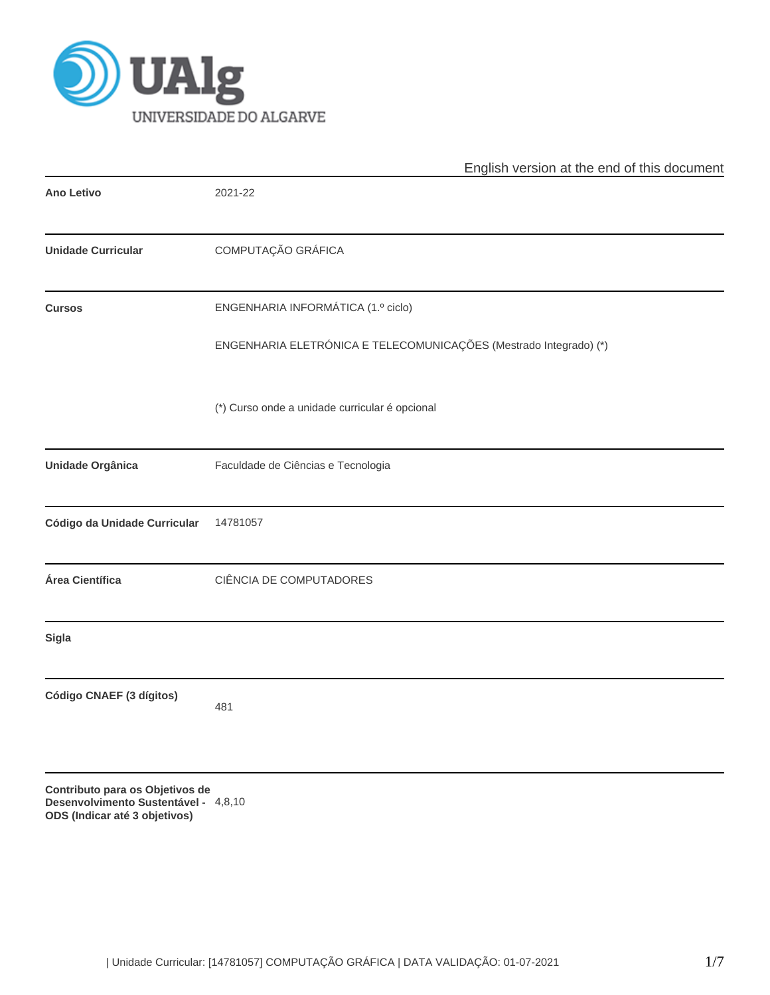

|                                                                                                          | English version at the end of this document                       |  |  |  |  |  |
|----------------------------------------------------------------------------------------------------------|-------------------------------------------------------------------|--|--|--|--|--|
| <b>Ano Letivo</b>                                                                                        | 2021-22                                                           |  |  |  |  |  |
| <b>Unidade Curricular</b>                                                                                | COMPUTAÇÃO GRÁFICA                                                |  |  |  |  |  |
| <b>Cursos</b>                                                                                            | ENGENHARIA INFORMÁTICA (1.º ciclo)                                |  |  |  |  |  |
|                                                                                                          | ENGENHARIA ELETRÓNICA E TELECOMUNICAÇÕES (Mestrado Integrado) (*) |  |  |  |  |  |
|                                                                                                          | (*) Curso onde a unidade curricular é opcional                    |  |  |  |  |  |
| Unidade Orgânica                                                                                         | Faculdade de Ciências e Tecnologia                                |  |  |  |  |  |
| Código da Unidade Curricular                                                                             | 14781057                                                          |  |  |  |  |  |
| Área Científica                                                                                          | CIÊNCIA DE COMPUTADORES                                           |  |  |  |  |  |
| <b>Sigla</b>                                                                                             |                                                                   |  |  |  |  |  |
| Código CNAEF (3 dígitos)                                                                                 | 481                                                               |  |  |  |  |  |
| Contributo para os Objetivos de<br>Desenvolvimento Sustentável - 4,8,10<br>ODS (Indicar até 3 objetivos) |                                                                   |  |  |  |  |  |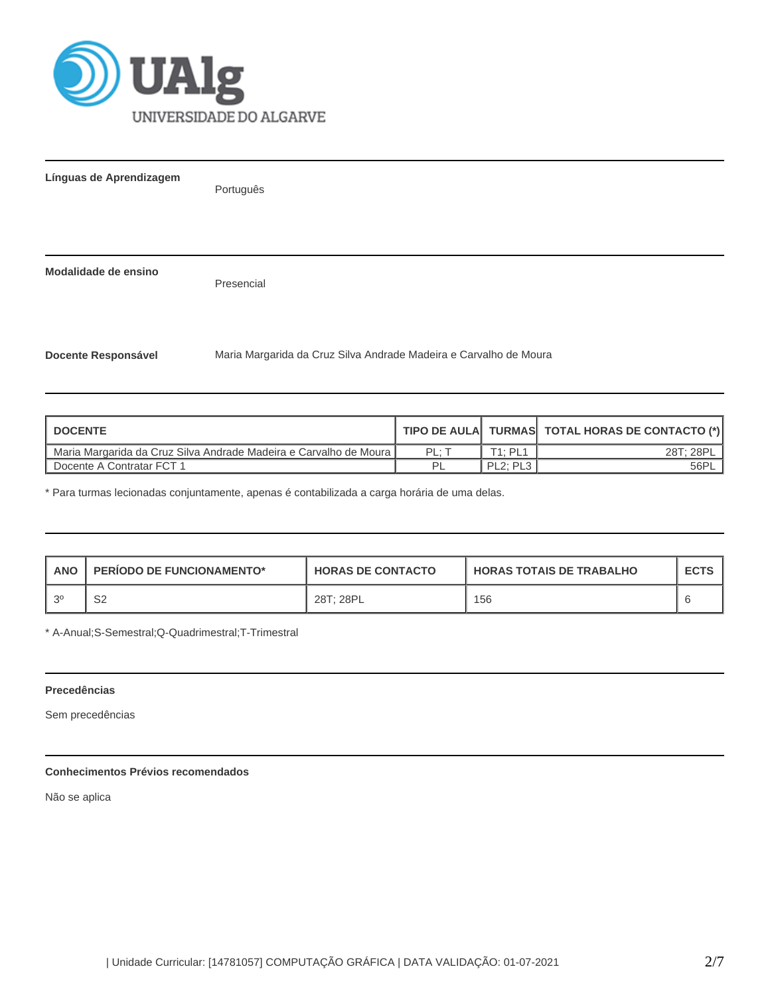

| Línguas de Aprendizagem    | Português                                                         |  |  |  |  |  |  |
|----------------------------|-------------------------------------------------------------------|--|--|--|--|--|--|
|                            |                                                                   |  |  |  |  |  |  |
| Modalidade de ensino       | Presencial                                                        |  |  |  |  |  |  |
| <b>Docente Responsável</b> | Maria Margarida da Cruz Silva Andrade Madeira e Carvalho de Moura |  |  |  |  |  |  |

| <b>I DOCENTE</b>                                                  |       |                                   | TIPO DE AULA TURMAS TOTAL HORAS DE CONTACTO (*) |
|-------------------------------------------------------------------|-------|-----------------------------------|-------------------------------------------------|
| Maria Margarida da Cruz Silva Andrade Madeira e Carvalho de Moura | PL: 7 | T1: PL1                           | 28T; 28PL                                       |
| Docente A Contratar FCT 1                                         |       | PL <sub>2</sub> : PL <sub>3</sub> | 56PL                                            |

\* Para turmas lecionadas conjuntamente, apenas é contabilizada a carga horária de uma delas.

| <b>ANO</b> | <b>PERIODO DE FUNCIONAMENTO*</b> | <b>HORAS DE CONTACTO</b> | <b>HORAS TOTAIS DE TRABALHO</b> | <b>ECTS</b> |
|------------|----------------------------------|--------------------------|---------------------------------|-------------|
| 20         | ໐າ<br>∠ت                         | 28T: 28PL                | 156                             |             |

\* A-Anual;S-Semestral;Q-Quadrimestral;T-Trimestral

## **Precedências**

Sem precedências

## **Conhecimentos Prévios recomendados**

Não se aplica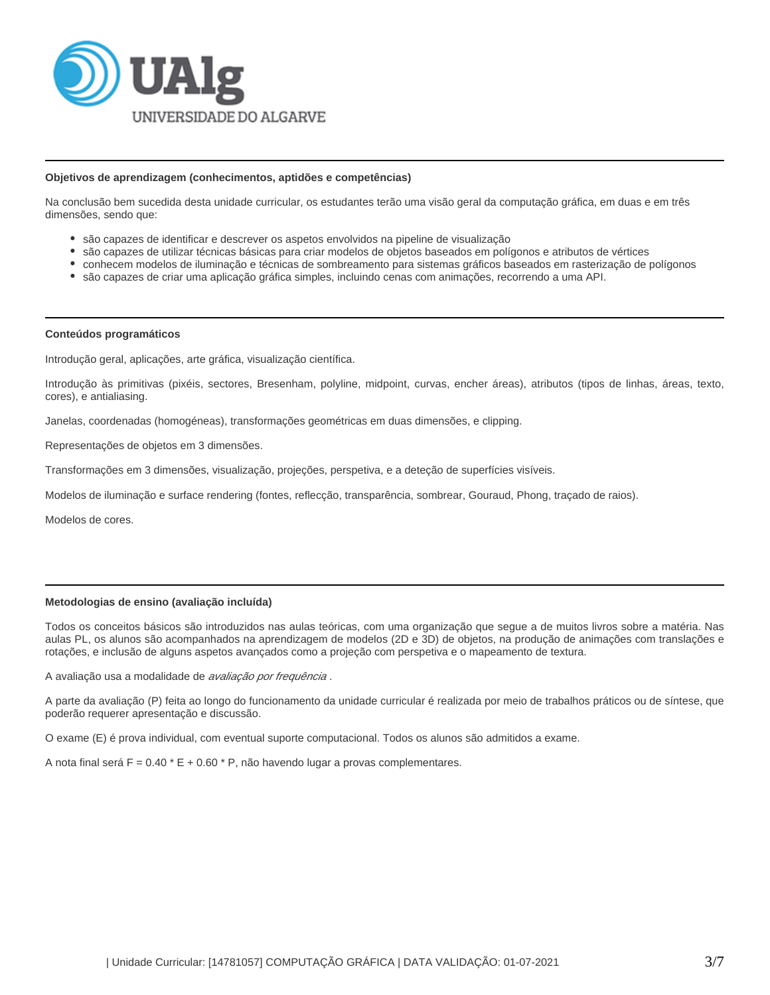

### **Objetivos de aprendizagem (conhecimentos, aptidões e competências)**

Na conclusão bem sucedida desta unidade curricular, os estudantes terão uma visão geral da computação gráfica, em duas e em três dimensões, sendo que:

- são capazes de identificar e descrever os aspetos envolvidos na pipeline de visualização
- são capazes de utilizar técnicas básicas para criar modelos de objetos baseados em polígonos e atributos de vértices
- conhecem modelos de iluminação e técnicas de sombreamento para sistemas gráficos baseados em rasterização de polígonos
- são capazes de criar uma aplicação gráfica simples, incluindo cenas com animações, recorrendo a uma API.

### **Conteúdos programáticos**

Introdução geral, aplicações, arte gráfica, visualização científica.

Introdução às primitivas (pixéis, sectores, Bresenham, polyline, midpoint, curvas, encher áreas), atributos (tipos de linhas, áreas, texto, cores), e antialiasing.

Janelas, coordenadas (homogéneas), transformações geométricas em duas dimensões, e clipping.

Representações de objetos em 3 dimensões.

Transformações em 3 dimensões, visualização, projeções, perspetiva, e a deteção de superfícies visíveis.

Modelos de iluminação e surface rendering (fontes, reflecção, transparência, sombrear, Gouraud, Phong, traçado de raios).

Modelos de cores.

# **Metodologias de ensino (avaliação incluída)**

Todos os conceitos básicos são introduzidos nas aulas teóricas, com uma organização que segue a de muitos livros sobre a matéria. Nas aulas PL, os alunos são acompanhados na aprendizagem de modelos (2D e 3D) de objetos, na produção de animações com translações e rotações, e inclusão de alguns aspetos avançados como a projeção com perspetiva e o mapeamento de textura.

A avaliação usa a modalidade de avaliação por freguência.

A parte da avaliação (P) feita ao longo do funcionamento da unidade curricular é realizada por meio de trabalhos práticos ou de síntese, que poderão requerer apresentação e discussão.

O exame (E) é prova individual, com eventual suporte computacional. Todos os alunos são admitidos a exame.

A nota final será  $F = 0.40 * E + 0.60 * P$ , não havendo lugar a provas complementares.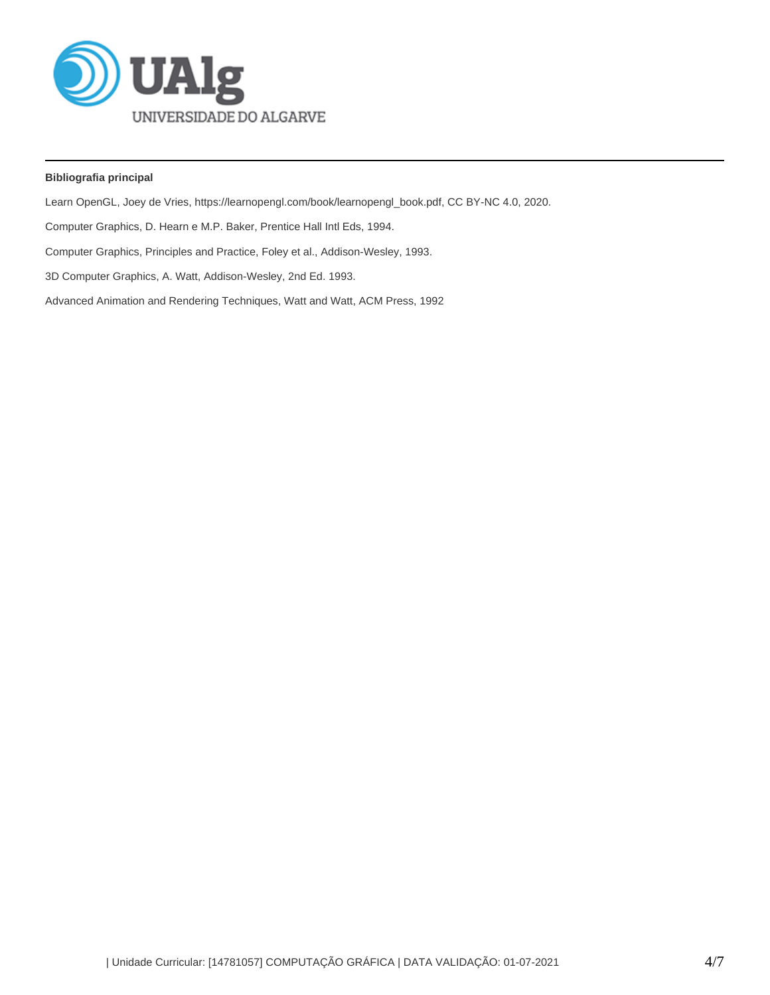

# **Bibliografia principal**

Learn OpenGL, Joey de Vries, https://learnopengl.com/book/learnopengl\_book.pdf, CC BY-NC 4.0, 2020.

Computer Graphics, D. Hearn e M.P. Baker, Prentice Hall Intl Eds, 1994.

Computer Graphics, Principles and Practice, Foley et al., Addison-Wesley, 1993.

3D Computer Graphics, A. Watt, Addison-Wesley, 2nd Ed. 1993.

Advanced Animation and Rendering Techniques, Watt and Watt, ACM Press, 1992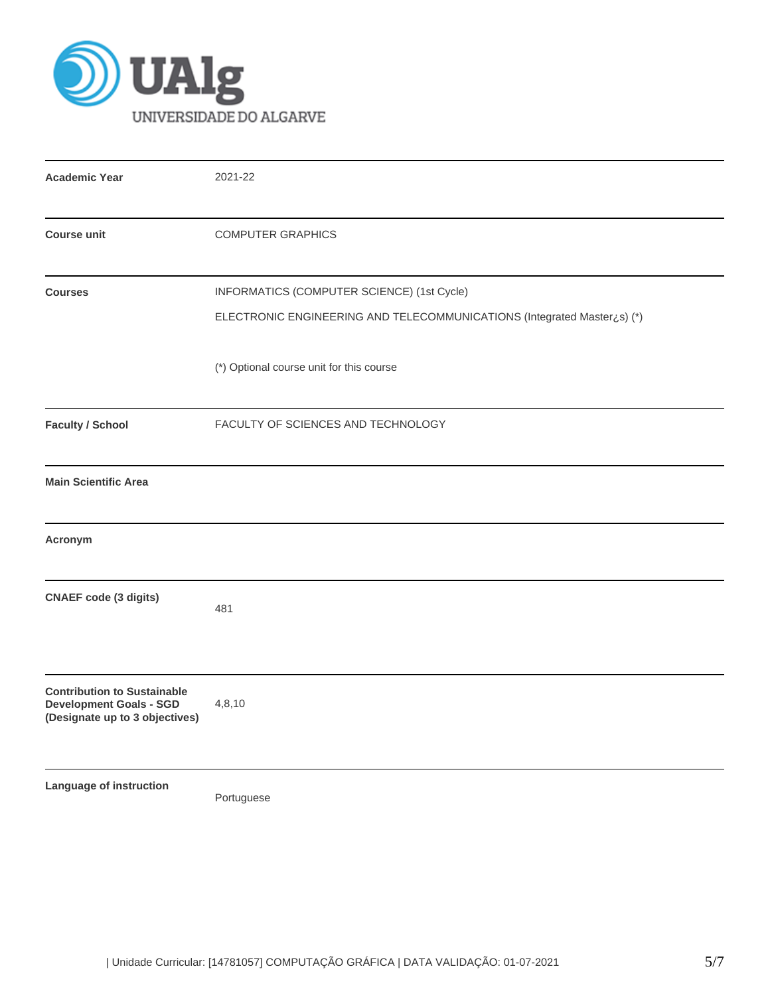

| <b>Academic Year</b>                                                                                   | 2021-22                                                                                                               |
|--------------------------------------------------------------------------------------------------------|-----------------------------------------------------------------------------------------------------------------------|
| <b>Course unit</b>                                                                                     | <b>COMPUTER GRAPHICS</b>                                                                                              |
| <b>Courses</b>                                                                                         | INFORMATICS (COMPUTER SCIENCE) (1st Cycle)<br>ELECTRONIC ENGINEERING AND TELECOMMUNICATIONS (Integrated Master¿s) (*) |
|                                                                                                        | (*) Optional course unit for this course                                                                              |
| <b>Faculty / School</b>                                                                                | FACULTY OF SCIENCES AND TECHNOLOGY                                                                                    |
| <b>Main Scientific Area</b>                                                                            |                                                                                                                       |
| Acronym                                                                                                |                                                                                                                       |
| <b>CNAEF code (3 digits)</b>                                                                           | 481                                                                                                                   |
| <b>Contribution to Sustainable</b><br><b>Development Goals - SGD</b><br>(Designate up to 3 objectives) | 4,8,10                                                                                                                |
| Language of instruction                                                                                | Portuguese                                                                                                            |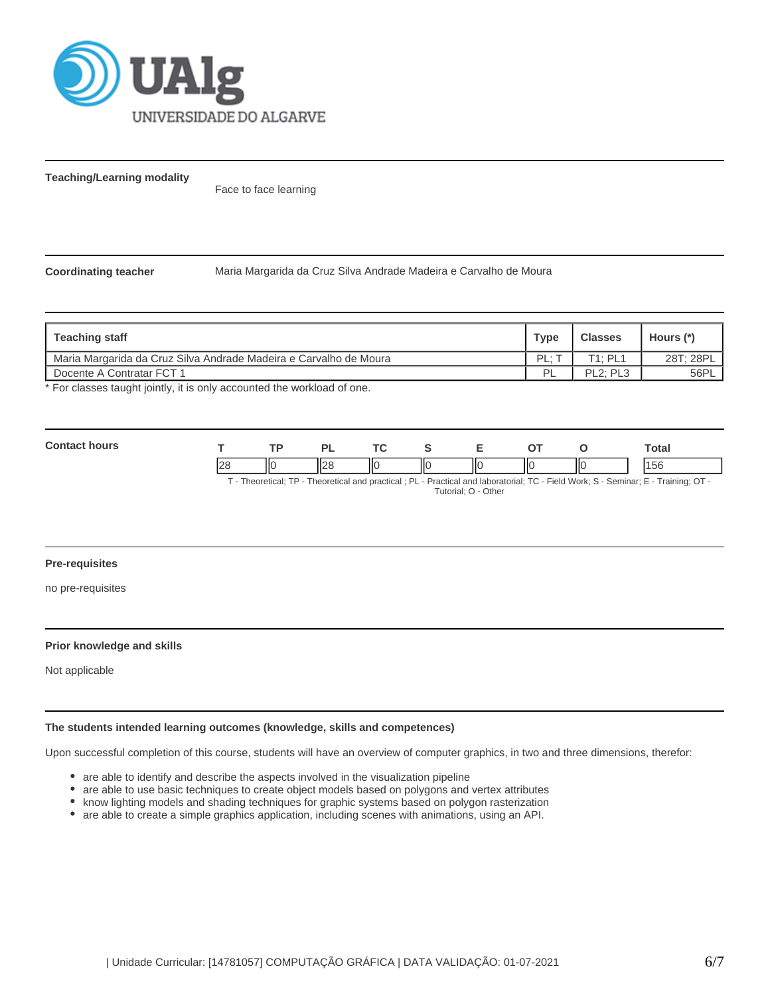

**Teaching/Learning modality**

Face to face learning

**Coordinating teacher** Maria Margarida da Cruz Silva Andrade Madeira e Carvalho de Moura

| <b>Teaching staff</b>                                             | <b>Type</b> | <b>Classes</b> | Hours (*) |
|-------------------------------------------------------------------|-------------|----------------|-----------|
| Maria Margarida da Cruz Silva Andrade Madeira e Carvalho de Moura | ΡI          | [1 · PI 1      | 28T; 28PL |
| Docente A Contratar FCT 1                                         | ום          | PL2: PL3       | 56PL      |

\* For classes taught jointly, it is only accounted the workload of one.

| Con |             |     |        | <u>те</u> |    |     |    |    | <b>otal</b> |
|-----|-------------|-----|--------|-----------|----|-----|----|----|-------------|
|     | $\sim$<br>~ | IІC | $\sim$ |           | ШC | 117 | НΟ | IЮ | 1400        |

T - Theoretical; TP - Theoretical and practical ; PL - Practical and laboratorial; TC - Field Work; S - Seminar; E - Training; OT - Tutorial; O - Other

**Pre-requisites**

no pre-requisites

# **Prior knowledge and skills**

Not applicable

## **The students intended learning outcomes (knowledge, skills and competences)**

Upon successful completion of this course, students will have an overview of computer graphics, in two and three dimensions, therefor:

- are able to identify and describe the aspects involved in the visualization pipeline
- $\bullet$ are able to use basic techniques to create object models based on polygons and vertex attributes
- know lighting models and shading techniques for graphic systems based on polygon rasterization
- are able to create a simple graphics application, including scenes with animations, using an API.